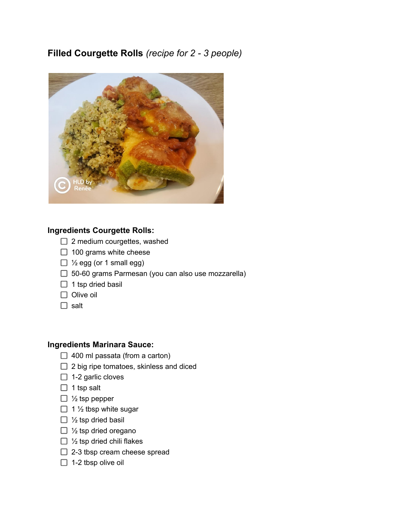## **Filled Courgette Rolls** *(recipe for 2 - 3 people)*



## **Ingredients Courgette Rolls:**

- $\Box$  2 medium courgettes, washed
- $\Box$  100 grams white cheese
- $\Box$  1/<sub>2</sub> egg (or 1 small egg)
- □ 50-60 grams Parmesan (you can also use mozzarella)
- $\Box$  1 tsp dried basil
- $\Box$  Olive oil
- $\Box$  salt

## **Ingredients Marinara Sauce:**

- $\Box$  400 ml passata (from a carton)
- $\Box$  2 big ripe tomatoes, skinless and diced
- $\Box$  1-2 garlic cloves
- $\Box$  1 tsp salt
- $\Box$  1/<sub>2</sub> tsp pepper
- $\Box$  1 1/2 tbsp white sugar
- $\Box$  1/<sub>2</sub> tsp dried basil
- $\Box$  1/<sub>2</sub> tsp dried oregano
- $\Box$  1/<sub>2</sub> tsp dried chili flakes
- $\Box$  2-3 tbsp cream cheese spread
- $\Box$  1-2 tbsp olive oil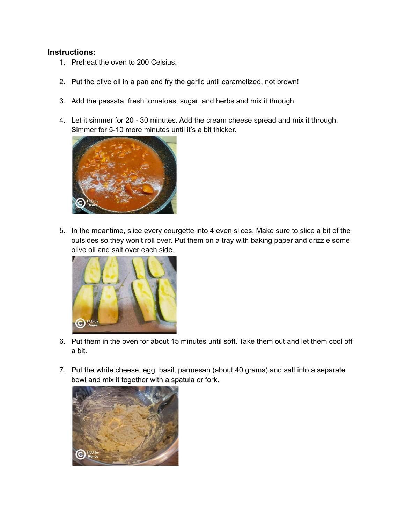## **Instructions:**

- 1. Preheat the oven to 200 Celsius.
- 2. Put the olive oil in a pan and fry the garlic until caramelized, not brown!
- 3. Add the passata, fresh tomatoes, sugar, and herbs and mix it through.
- 4. Let it simmer for 20 30 minutes. Add the cream cheese spread and mix it through. Simmer for 5-10 more minutes until it's a bit thicker.



5. In the meantime, slice every courgette into 4 even slices. Make sure to slice a bit of the outsides so they won't roll over. Put them on a tray with baking paper and drizzle some olive oil and salt over each side.



- 6. Put them in the oven for about 15 minutes until soft. Take them out and let them cool off a bit.
- 7. Put the white cheese, egg, basil, parmesan (about 40 grams) and salt into a separate bowl and mix it together with a spatula or fork.